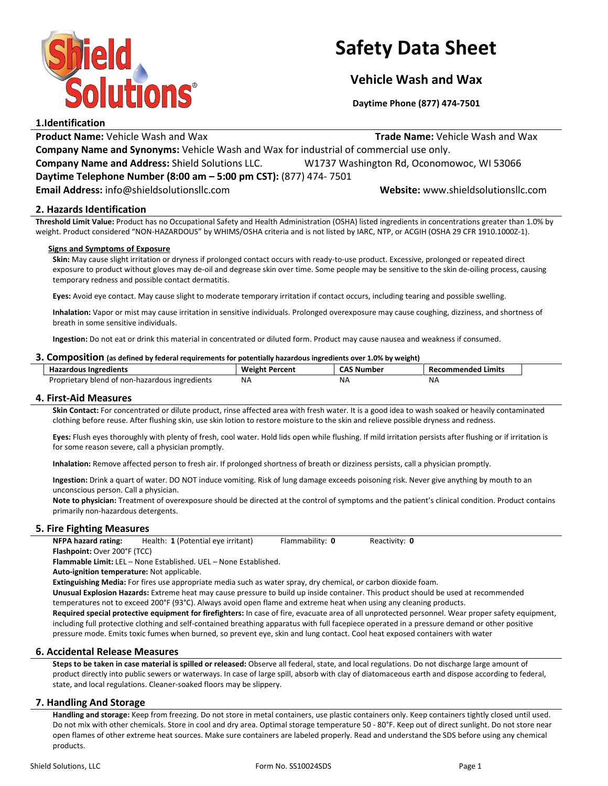

# Safety Data Sheet

# Vehicle Wash and Wax

Daytime Phone (877) 474-7501

# 1.Identification

**Product Name:** Vehicle Wash and Wax Trade Name: Vehicle Wash and Wax Trade Name: Vehicle Wash and Wax

Company Name and Synonyms: Vehicle Wash and Wax for industrial of commercial use only.

Company Name and Address: Shield Solutions LLC. W1737 Washington Rd, Oconomowoc, WI 53066

Daytime Telephone Number (8:00 am – 5:00 pm CST): (877) 474- 7501

Email Address: info@shieldsolutionsllc.com Website: www.shieldsolutionsllc.com

# 2. Hazards Identification

Threshold Limit Value: Product has no Occupational Safety and Health Administration (OSHA) listed ingredients in concentrations greater than 1.0% by weight. Product considered "NON-HAZARDOUS" by WHIMS/OSHA criteria and is not listed by IARC, NTP, or ACGIH (OSHA 29 CFR 1910.1000Z-1).

#### Signs and Symptoms of Exposure

Skin: May cause slight irritation or dryness if prolonged contact occurs with ready-to-use product. Excessive, prolonged or repeated direct exposure to product without gloves may de-oil and degrease skin over time. Some people may be sensitive to the skin de-oiling process, causing temporary redness and possible contact dermatitis.

Eyes: Avoid eye contact. May cause slight to moderate temporary irritation if contact occurs, including tearing and possible swelling.

Inhalation: Vapor or mist may cause irritation in sensitive individuals. Prolonged overexposure may cause coughing, dizziness, and shortness of breath in some sensitive individuals.

Ingestion: Do not eat or drink this material in concentrated or diluted form. Product may cause nausea and weakness if consumed.

#### 3. Composition (as defined by federal requirements for potentially hazardous ingredients over 1.0% by weight)

| <b>Hazardous Ingredients</b>                   | <b>Weight Percent</b> | <b>CAS Number</b> | Recommended<br>Limits |
|------------------------------------------------|-----------------------|-------------------|-----------------------|
| Proprietary blend of non-hazardous ingredients | <b>NA</b>             | ΝA                | NA                    |

#### 4. First-Aid Measures

Skin Contact: For concentrated or dilute product, rinse affected area with fresh water. It is a good idea to wash soaked or heavily contaminated clothing before reuse. After flushing skin, use skin lotion to restore moisture to the skin and relieve possible dryness and redness.

Eyes: Flush eyes thoroughly with plenty of fresh, cool water. Hold lids open while flushing. If mild irritation persists after flushing or if irritation is for some reason severe, call a physician promptly.

Inhalation: Remove affected person to fresh air. If prolonged shortness of breath or dizziness persists, call a physician promptly.

Ingestion: Drink a quart of water. DO NOT induce vomiting. Risk of lung damage exceeds poisoning risk. Never give anything by mouth to an unconscious person. Call a physician.

Note to physician: Treatment of overexposure should be directed at the control of symptoms and the patient's clinical condition. Product contains primarily non-hazardous detergents.

# 5. Fire Fighting Measures

NFPA hazard rating: Health: 1 (Potential eye irritant) Flammability: 0 Reactivity: 0 Flashpoint: Over 200°F (TCC)

Flammable Limit: LEL – None Established. UEL – None Established.

Auto-ignition temperature: Not applicable.

Extinguishing Media: For fires use appropriate media such as water spray, dry chemical, or carbon dioxide foam.

Unusual Explosion Hazards: Extreme heat may cause pressure to build up inside container. This product should be used at recommended temperatures not to exceed 200°F (93°C). Always avoid open flame and extreme heat when using any cleaning products.

Required special protective equipment for firefighters: In case of fire, evacuate area of all unprotected personnel. Wear proper safety equipment, including full protective clothing and self-contained breathing apparatus with full facepiece operated in a pressure demand or other positive pressure mode. Emits toxic fumes when burned, so prevent eye, skin and lung contact. Cool heat exposed containers with water

# 6. Accidental Release Measures

Steps to be taken in case material is spilled or released: Observe all federal, state, and local regulations. Do not discharge large amount of product directly into public sewers or waterways. In case of large spill, absorb with clay of diatomaceous earth and dispose according to federal, state, and local regulations. Cleaner-soaked floors may be slippery.

# 7. Handling And Storage

Handling and storage: Keep from freezing. Do not store in metal containers, use plastic containers only. Keep containers tightly closed until used. Do not mix with other chemicals. Store in cool and dry area. Optimal storage temperature 50 - 80°F. Keep out of direct sunlight. Do not store near open flames of other extreme heat sources. Make sure containers are labeled properly. Read and understand the SDS before using any chemical products.